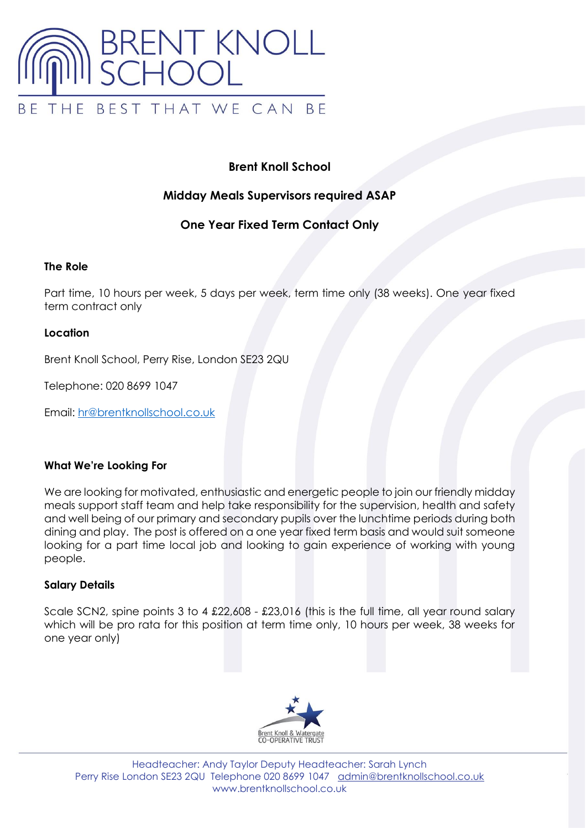

# **Brent Knoll School**

## **Midday Meals Supervisors required ASAP**

## **One Year Fixed Term Contact Only**

### **The Role**

Part time, 10 hours per week, 5 days per week, term time only (38 weeks). One year fixed term contract only

### **Location**

Brent Knoll School, Perry Rise, London SE23 2QU

Telephone: 020 8699 1047

Email: [hr@brentknollschool.co.uk](mailto:hr@brentknollschool.co.uk)

### **What We're Looking For**

We are looking for motivated, enthusiastic and energetic people to join our friendly midday meals support staff team and help take responsibility for the supervision, health and safety and well being of our primary and secondary pupils over the lunchtime periods during both dining and play. The post is offered on a one year fixed term basis and would suit someone looking for a part time local job and looking to gain experience of working with young people.

### **Salary Details**

Scale SCN2, spine points 3 to 4 £22,608 - £23,016 (this is the full time, all year round salary which will be pro rata for this position at term time only, 10 hours per week, 38 weeks for one year only)